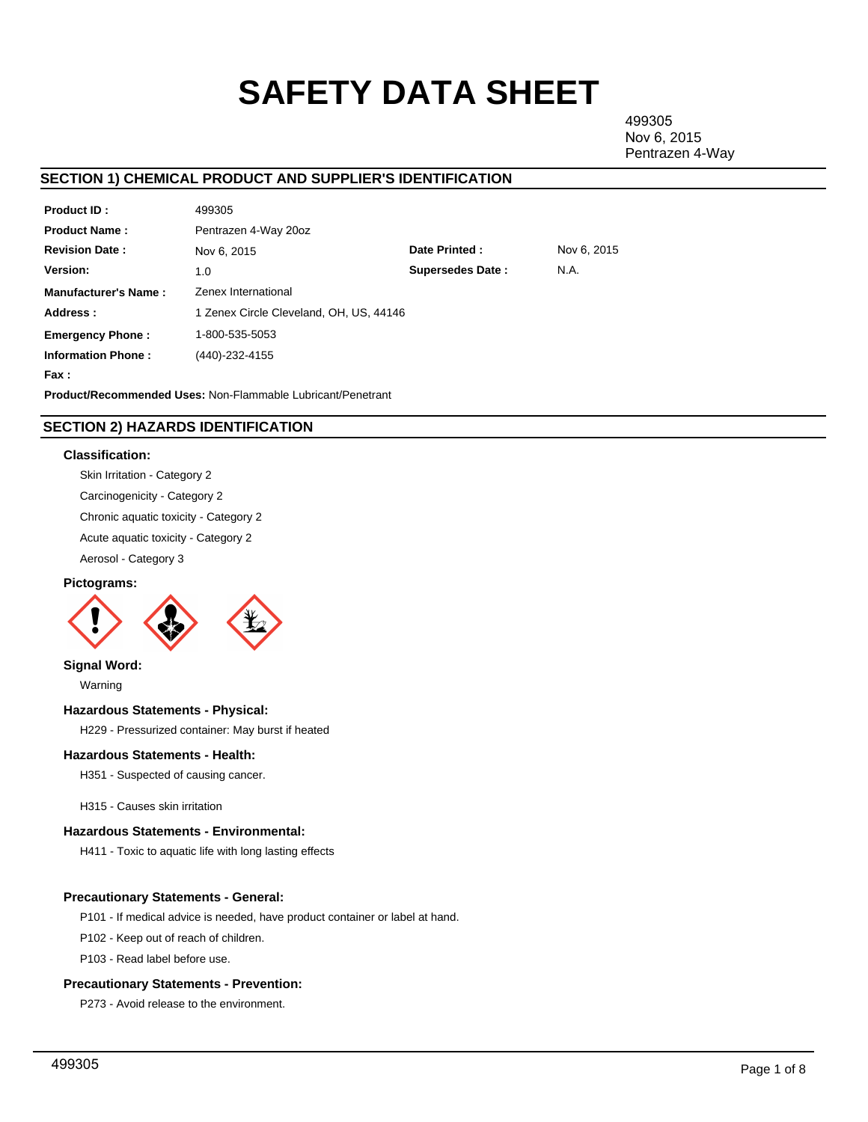# **SAFETY DATA SHEET**

499305 Nov 6, 2015 Pentrazen 4-Way

# **SECTION 1) CHEMICAL PRODUCT AND SUPPLIER'S IDENTIFICATION**

| <b>Product ID:</b>                                                 | 499305                                  |                         |             |  |  |  |  |
|--------------------------------------------------------------------|-----------------------------------------|-------------------------|-------------|--|--|--|--|
| <b>Product Name:</b>                                               | Pentrazen 4-Way 20oz                    |                         |             |  |  |  |  |
| <b>Revision Date:</b>                                              | Nov 6, 2015                             | Date Printed:           | Nov 6, 2015 |  |  |  |  |
| <b>Version:</b>                                                    | 1.0                                     | <b>Supersedes Date:</b> | N.A.        |  |  |  |  |
| <b>Manufacturer's Name:</b>                                        | Zenex International                     |                         |             |  |  |  |  |
| Address:                                                           | 1 Zenex Circle Cleveland, OH, US, 44146 |                         |             |  |  |  |  |
| <b>Emergency Phone:</b>                                            | 1-800-535-5053                          |                         |             |  |  |  |  |
| <b>Information Phone:</b>                                          | (440)-232-4155                          |                         |             |  |  |  |  |
| Fax :                                                              |                                         |                         |             |  |  |  |  |
| <b>Product/Recommended Uses: Non-Flammable Lubricant/Penetrant</b> |                                         |                         |             |  |  |  |  |

# **SECTION 2) HAZARDS IDENTIFICATION**

# **Classification:**

Skin Irritation - Category 2 Carcinogenicity - Category 2

Chronic aquatic toxicity - Category 2

Acute aquatic toxicity - Category 2

Aerosol - Category 3

# **Pictograms:**



**Signal Word:**

Warning

## **Hazardous Statements - Physical:**

H229 - Pressurized container: May burst if heated

# **Hazardous Statements - Health:**

H351 - Suspected of causing cancer.

H315 - Causes skin irritation

## **Hazardous Statements - Environmental:**

H411 - Toxic to aquatic life with long lasting effects

# **Precautionary Statements - General:**

P101 - If medical advice is needed, have product container or label at hand.

P102 - Keep out of reach of children.

P103 - Read label before use.

# **Precautionary Statements - Prevention:**

P273 - Avoid release to the environment.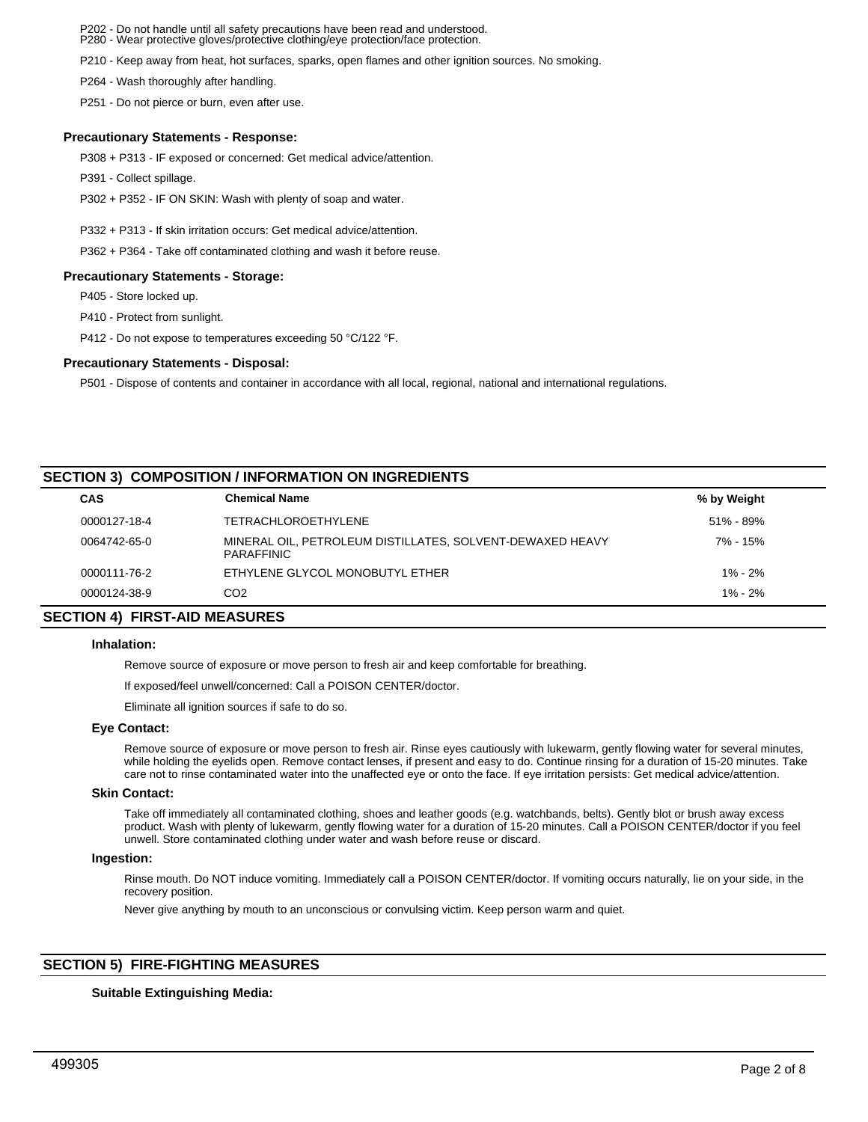P202 - Do not handle until all safety precautions have been read and understood. P280 - Wear protective gloves/protective clothing/eye protection/face protection.

P210 - Keep away from heat, hot surfaces, sparks, open flames and other ignition sources. No smoking.

P264 - Wash thoroughly after handling.

P251 - Do not pierce or burn, even after use.

# **Precautionary Statements - Response:**

P308 + P313 - IF exposed or concerned: Get medical advice/attention.

P391 - Collect spillage.

P302 + P352 - IF ON SKIN: Wash with plenty of soap and water.

P332 + P313 - If skin irritation occurs: Get medical advice/attention.

P362 + P364 - Take off contaminated clothing and wash it before reuse.

## **Precautionary Statements - Storage:**

P405 - Store locked up.

P410 - Protect from sunlight.

P412 - Do not expose to temperatures exceeding 50 °C/122 °F.

# **Precautionary Statements - Disposal:**

P501 - Dispose of contents and container in accordance with all local, regional, national and international regulations.

# **SECTION 3) COMPOSITION / INFORMATION ON INGREDIENTS**

| <b>CAS</b>   | <b>Chemical Name</b>                                                    | % by Weight |  |
|--------------|-------------------------------------------------------------------------|-------------|--|
| 0000127-18-4 | <b>TETRACHLOROETHYLENE</b>                                              | 51% - 89%   |  |
| 0064742-65-0 | MINERAL OIL, PETROLEUM DISTILLATES, SOLVENT-DEWAXED HEAVY<br>PARAFFINIC | 7% - 15%    |  |
| 0000111-76-2 | ETHYLENE GLYCOL MONOBUTYL ETHER                                         | $1\% - 2\%$ |  |
| 0000124-38-9 | CO <sub>2</sub>                                                         | $1\% - 2\%$ |  |

# **SECTION 4) FIRST-AID MEASURES**

## **Inhalation:**

Remove source of exposure or move person to fresh air and keep comfortable for breathing.

If exposed/feel unwell/concerned: Call a POISON CENTER/doctor.

Eliminate all ignition sources if safe to do so.

## **Eye Contact:**

Remove source of exposure or move person to fresh air. Rinse eyes cautiously with lukewarm, gently flowing water for several minutes, while holding the eyelids open. Remove contact lenses, if present and easy to do. Continue rinsing for a duration of 15-20 minutes. Take care not to rinse contaminated water into the unaffected eye or onto the face. If eye irritation persists: Get medical advice/attention.

## **Skin Contact:**

Take off immediately all contaminated clothing, shoes and leather goods (e.g. watchbands, belts). Gently blot or brush away excess product. Wash with plenty of lukewarm, gently flowing water for a duration of 15-20 minutes. Call a POISON CENTER/doctor if you feel unwell. Store contaminated clothing under water and wash before reuse or discard.

## **Ingestion:**

Rinse mouth. Do NOT induce vomiting. Immediately call a POISON CENTER/doctor. If vomiting occurs naturally, lie on your side, in the recovery position.

Never give anything by mouth to an unconscious or convulsing victim. Keep person warm and quiet.

# **SECTION 5) FIRE-FIGHTING MEASURES**

## **Suitable Extinguishing Media:**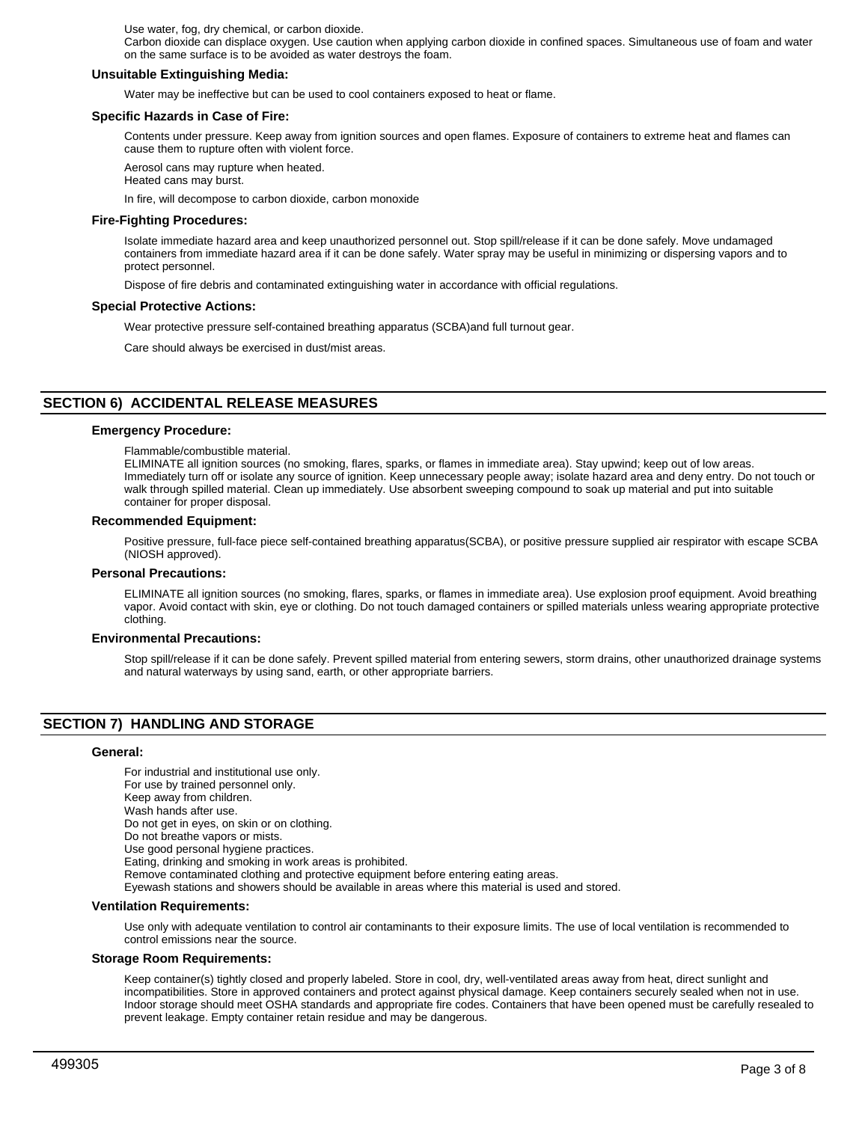Use water, fog, dry chemical, or carbon dioxide.

Carbon dioxide can displace oxygen. Use caution when applying carbon dioxide in confined spaces. Simultaneous use of foam and water on the same surface is to be avoided as water destroys the foam.

## **Unsuitable Extinguishing Media:**

Water may be ineffective but can be used to cool containers exposed to heat or flame.

#### **Specific Hazards in Case of Fire:**

Contents under pressure. Keep away from ignition sources and open flames. Exposure of containers to extreme heat and flames can cause them to rupture often with violent force.

Aerosol cans may rupture when heated. Heated cans may burst.

In fire, will decompose to carbon dioxide, carbon monoxide

## **Fire-Fighting Procedures:**

Isolate immediate hazard area and keep unauthorized personnel out. Stop spill/release if it can be done safely. Move undamaged containers from immediate hazard area if it can be done safely. Water spray may be useful in minimizing or dispersing vapors and to protect personnel.

Dispose of fire debris and contaminated extinguishing water in accordance with official regulations.

#### **Special Protective Actions:**

Wear protective pressure self-contained breathing apparatus (SCBA)and full turnout gear.

Care should always be exercised in dust/mist areas.

# **SECTION 6) ACCIDENTAL RELEASE MEASURES**

#### **Emergency Procedure:**

Flammable/combustible material.

ELIMINATE all ignition sources (no smoking, flares, sparks, or flames in immediate area). Stay upwind; keep out of low areas. Immediately turn off or isolate any source of ignition. Keep unnecessary people away; isolate hazard area and deny entry. Do not touch or walk through spilled material. Clean up immediately. Use absorbent sweeping compound to soak up material and put into suitable container for proper disposal.

## **Recommended Equipment:**

Positive pressure, full-face piece self-contained breathing apparatus(SCBA), or positive pressure supplied air respirator with escape SCBA (NIOSH approved).

#### **Personal Precautions:**

ELIMINATE all ignition sources (no smoking, flares, sparks, or flames in immediate area). Use explosion proof equipment. Avoid breathing vapor. Avoid contact with skin, eye or clothing. Do not touch damaged containers or spilled materials unless wearing appropriate protective clothing.

#### **Environmental Precautions:**

Stop spill/release if it can be done safely. Prevent spilled material from entering sewers, storm drains, other unauthorized drainage systems and natural waterways by using sand, earth, or other appropriate barriers.

# **SECTION 7) HANDLING AND STORAGE**

#### **General:**

For industrial and institutional use only. For use by trained personnel only. Keep away from children. Wash hands after use. Do not get in eyes, on skin or on clothing. Do not breathe vapors or mists. Use good personal hygiene practices. Eating, drinking and smoking in work areas is prohibited. Remove contaminated clothing and protective equipment before entering eating areas. Eyewash stations and showers should be available in areas where this material is used and stored. **Ventilation Requirements:**

Use only with adequate ventilation to control air contaminants to their exposure limits. The use of local ventilation is recommended to control emissions near the source.

#### **Storage Room Requirements:**

Keep container(s) tightly closed and properly labeled. Store in cool, dry, well-ventilated areas away from heat, direct sunlight and incompatibilities. Store in approved containers and protect against physical damage. Keep containers securely sealed when not in use. Indoor storage should meet OSHA standards and appropriate fire codes. Containers that have been opened must be carefully resealed to prevent leakage. Empty container retain residue and may be dangerous.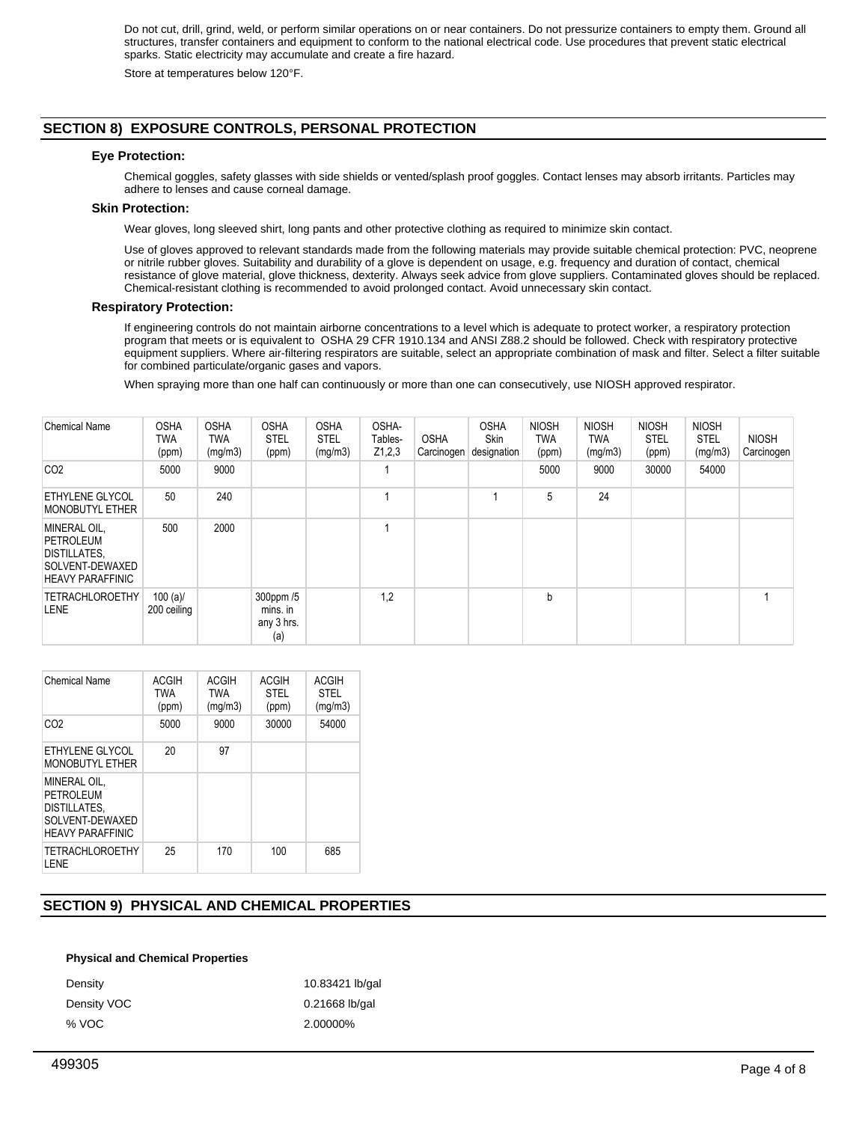Do not cut, drill, grind, weld, or perform similar operations on or near containers. Do not pressurize containers to empty them. Ground all structures, transfer containers and equipment to conform to the national electrical code. Use procedures that prevent static electrical sparks. Static electricity may accumulate and create a fire hazard.

Store at temperatures below 120°F.

# **SECTION 8) EXPOSURE CONTROLS, PERSONAL PROTECTION**

## **Eye Protection:**

Chemical goggles, safety glasses with side shields or vented/splash proof goggles. Contact lenses may absorb irritants. Particles may adhere to lenses and cause corneal damage.

# **Skin Protection:**

Wear gloves, long sleeved shirt, long pants and other protective clothing as required to minimize skin contact.

Use of gloves approved to relevant standards made from the following materials may provide suitable chemical protection: PVC, neoprene or nitrile rubber gloves. Suitability and durability of a glove is dependent on usage, e.g. frequency and duration of contact, chemical resistance of glove material, glove thickness, dexterity. Always seek advice from glove suppliers. Contaminated gloves should be replaced. Chemical-resistant clothing is recommended to avoid prolonged contact. Avoid unnecessary skin contact.

## **Respiratory Protection:**

If engineering controls do not maintain airborne concentrations to a level which is adequate to protect worker, a respiratory protection program that meets or is equivalent to OSHA 29 CFR 1910.134 and ANSI Z88.2 should be followed. Check with respiratory protective equipment suppliers. Where air-filtering respirators are suitable, select an appropriate combination of mask and filter. Select a filter suitable for combined particulate/organic gases and vapors.

When spraying more than one half can continuously or more than one can consecutively, use NIOSH approved respirator.

| <b>Chemical Name</b>                                                                    | <b>OSHA</b><br>TWA<br>(ppm) | <b>OSHA</b><br>TWA<br>(mg/m3) | <b>OSHA</b><br><b>STEL</b><br>(ppm)        | <b>OSHA</b><br><b>STEL</b><br>(mg/m3) | OSHA-<br>Tables-<br>Z1,2,3 | <b>OSHA</b><br>Carcinogen | <b>OSHA</b><br><b>Skin</b><br>designation | <b>NIOSH</b><br><b>TWA</b><br>(ppm) | <b>NIOSH</b><br><b>TWA</b><br>(mg/m3) | <b>NIOSH</b><br><b>STEL</b><br>(ppm) | <b>NIOSH</b><br><b>STEL</b><br>(mg/m3) | <b>NIOSH</b><br>Carcinogen |
|-----------------------------------------------------------------------------------------|-----------------------------|-------------------------------|--------------------------------------------|---------------------------------------|----------------------------|---------------------------|-------------------------------------------|-------------------------------------|---------------------------------------|--------------------------------------|----------------------------------------|----------------------------|
| CO <sub>2</sub>                                                                         | 5000                        | 9000                          |                                            |                                       |                            |                           |                                           | 5000                                | 9000                                  | 30000                                | 54000                                  |                            |
| <b>ETHYLENE GLYCOL</b><br><b>MONOBUTYL ETHER</b>                                        | 50                          | 240                           |                                            |                                       |                            |                           |                                           | 5                                   | 24                                    |                                      |                                        |                            |
| MINERAL OIL,<br>PETROLEUM<br>DISTILLATES,<br>SOLVENT-DEWAXED<br><b>HEAVY PARAFFINIC</b> | 500                         | 2000                          |                                            |                                       |                            |                           |                                           |                                     |                                       |                                      |                                        |                            |
| <b>TETRACHLOROETHY</b><br><b>LENE</b>                                                   | 100 $(a)$<br>200 ceiling    |                               | 300ppm /5<br>mins. in<br>any 3 hrs.<br>(a) |                                       | 1,2                        |                           |                                           | b                                   |                                       |                                      |                                        |                            |

| <b>Chemical Name</b>                                                                     | ACGIH<br><b>TWA</b><br>(ppm) | ACGIH<br><b>TWA</b><br>(mg/m3) | ACGIH<br><b>STEL</b><br>(ppm) | <b>ACGIH</b><br><b>STEL</b><br>(mg/m3) |
|------------------------------------------------------------------------------------------|------------------------------|--------------------------------|-------------------------------|----------------------------------------|
| CO <sub>2</sub>                                                                          | 5000                         | 9000                           | 30000                         | 54000                                  |
| ETHYLENE GLYCOL<br><b>MONOBUTYL ETHER</b>                                                | 20                           | 97                             |                               |                                        |
| MINERAL OIL.<br>PFTROI FUM<br>DISTILLATES,<br>SOLVENT-DEWAXED<br><b>HEAVY PARAFFINIC</b> |                              |                                |                               |                                        |
| <b>TETRACHLOROETHY</b><br><b>I.ENE</b>                                                   | 25                           | 170                            | 100                           | 685                                    |

# **SECTION 9) PHYSICAL AND CHEMICAL PROPERTIES**

#### **Physical and Chemical Properties**

| Density     | 10.83421 lb/gal  |
|-------------|------------------|
| Density VOC | $0.21668$ lb/gal |
| % VOC       | 2.00000%         |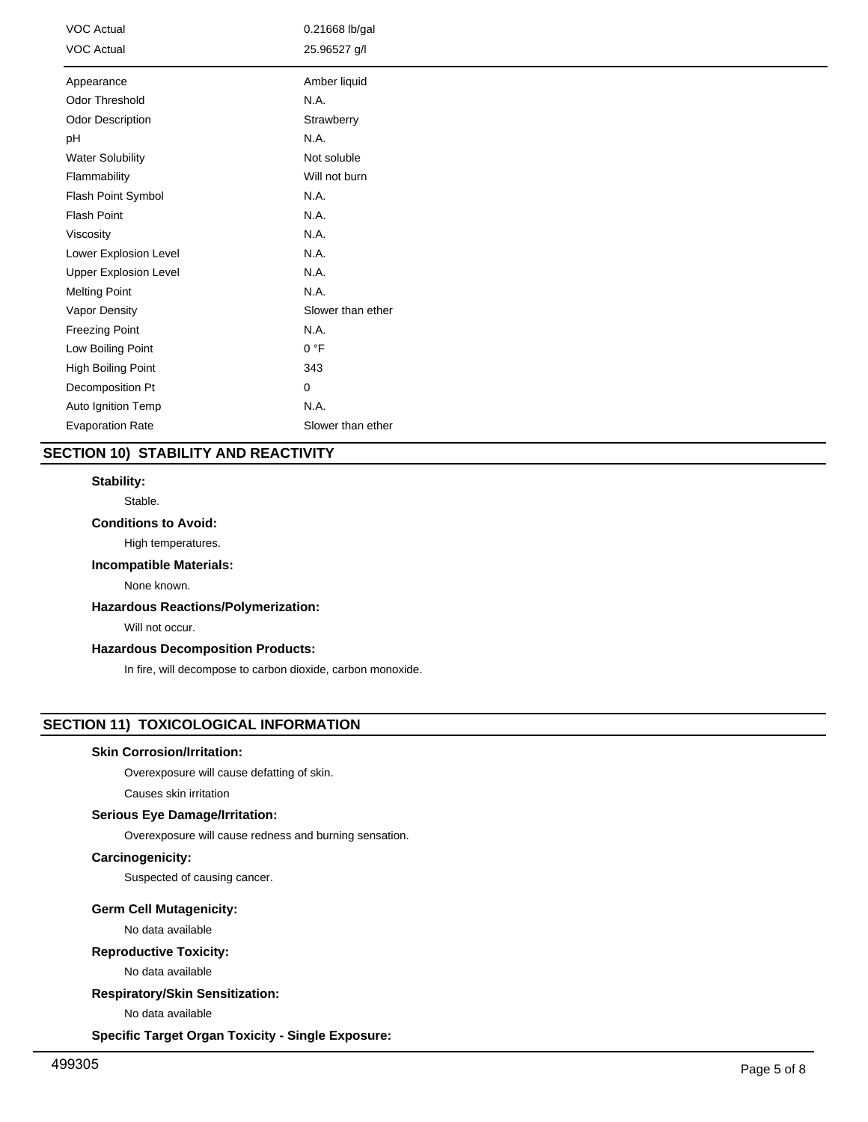| VOC Actual<br><b>VOC Actual</b> | 0.21668 lb/gal<br>25.96527 g/l |
|---------------------------------|--------------------------------|
|                                 | Amber liquid                   |
| Appearance                      |                                |
| Odor Threshold                  | N.A.                           |
| Odor Description                | Strawberry                     |
| рH                              | N.A.                           |
| <b>Water Solubility</b>         | Not soluble                    |
| Flammability                    | Will not burn                  |
| Flash Point Symbol              | N.A.                           |
| Flash Point                     | N.A.                           |
| Viscosity                       | N.A.                           |
| Lower Explosion Level           | N.A.                           |
| <b>Upper Explosion Level</b>    | N.A.                           |
| <b>Melting Point</b>            | N.A.                           |
| Vapor Density                   | Slower than ether              |
| <b>Freezing Point</b>           | N.A.                           |
| Low Boiling Point               | 0 °F                           |
| High Boiling Point              | 343                            |
| Decomposition Pt                | 0                              |
| Auto Ignition Temp              | N.A.                           |
| <b>Evaporation Rate</b>         | Slower than ether              |

# **SECTION 10) STABILITY AND REACTIVITY**

# **Stability:**

Stable.

# **Conditions to Avoid:**

High temperatures.

# **Incompatible Materials:**

None known.

# **Hazardous Reactions/Polymerization:**

Will not occur.

# **Hazardous Decomposition Products:**

In fire, will decompose to carbon dioxide, carbon monoxide.

# **SECTION 11) TOXICOLOGICAL INFORMATION**

## **Skin Corrosion/Irritation:**

Overexposure will cause defatting of skin.

Causes skin irritation

## **Serious Eye Damage/Irritation:**

Overexposure will cause redness and burning sensation.

# **Carcinogenicity:**

Suspected of causing cancer.

# **Germ Cell Mutagenicity:**

No data available

# **Reproductive Toxicity:**

No data available

# **Respiratory/Skin Sensitization:**

No data available

**Specific Target Organ Toxicity - Single Exposure:**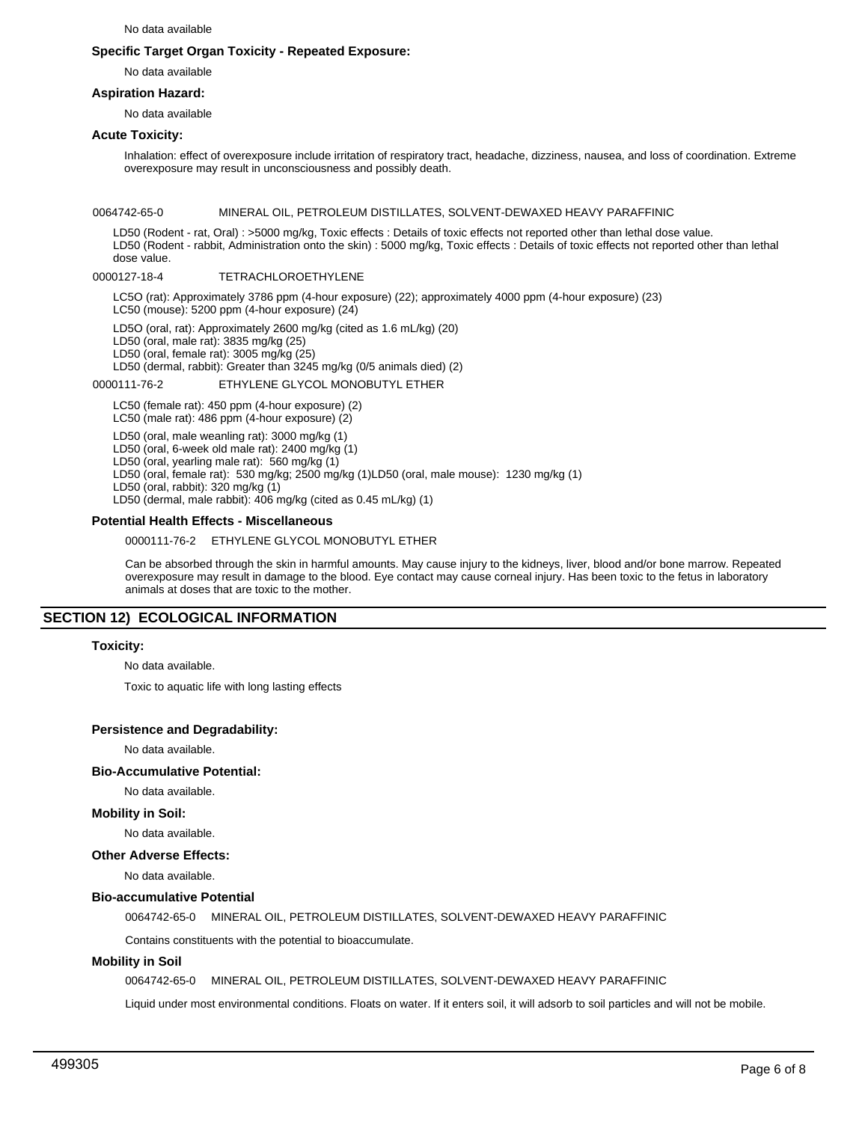No data available

# **Specific Target Organ Toxicity - Repeated Exposure:**

No data available

## **Aspiration Hazard:**

No data available

## **Acute Toxicity:**

Inhalation: effect of overexposure include irritation of respiratory tract, headache, dizziness, nausea, and loss of coordination. Extreme overexposure may result in unconsciousness and possibly death.

#### 0064742-65-0 MINERAL OIL, PETROLEUM DISTILLATES, SOLVENT-DEWAXED HEAVY PARAFFINIC

LD50 (Rodent - rat, Oral) : >5000 mg/kg, Toxic effects : Details of toxic effects not reported other than lethal dose value. LD50 (Rodent - rabbit, Administration onto the skin) : 5000 mg/kg, Toxic effects : Details of toxic effects not reported other than lethal dose value.

## 0000127-18-4 TETRACHLOROETHYLENE

LC5O (rat): Approximately 3786 ppm (4-hour exposure) (22); approximately 4000 ppm (4-hour exposure) (23) LC50 (mouse): 5200 ppm (4-hour exposure) (24)

LD5O (oral, rat): Approximately 2600 mg/kg (cited as 1.6 mL/kg) (20)

LD50 (oral, male rat): 3835 mg/kg (25)

LD50 (oral, female rat): 3005 mg/kg (25)

LD50 (dermal, rabbit): Greater than 3245 mg/kg (0/5 animals died) (2)

## 0000111-76-2 ETHYLENE GLYCOL MONOBUTYL ETHER

LC50 (female rat): 450 ppm (4-hour exposure) (2)

LC50 (male rat): 486 ppm (4-hour exposure) (2)

LD50 (oral, male weanling rat): 3000 mg/kg (1)

LD50 (oral, 6-week old male rat): 2400 mg/kg (1)

LD50 (oral, yearling male rat): 560 mg/kg (1) LD50 (oral, female rat): 530 mg/kg; 2500 mg/kg (1)LD50 (oral, male mouse): 1230 mg/kg (1)

LD50 (oral, rabbit): 320 mg/kg (1)

LD50 (dermal, male rabbit): 406 mg/kg (cited as 0.45 mL/kg) (1)

# **Potential Health Effects - Miscellaneous**

## 0000111-76-2 ETHYLENE GLYCOL MONOBUTYL ETHER

Can be absorbed through the skin in harmful amounts. May cause injury to the kidneys, liver, blood and/or bone marrow. Repeated overexposure may result in damage to the blood. Eye contact may cause corneal injury. Has been toxic to the fetus in laboratory animals at doses that are toxic to the mother.

# **SECTION 12) ECOLOGICAL INFORMATION**

## **Toxicity:**

No data available.

Toxic to aquatic life with long lasting effects

## **Persistence and Degradability:**

No data available.

## **Bio-Accumulative Potential:**

No data available.

## **Mobility in Soil:**

No data available.

# **Other Adverse Effects:**

No data available.

# **Bio-accumulative Potential**

0064742-65-0 MINERAL OIL, PETROLEUM DISTILLATES, SOLVENT-DEWAXED HEAVY PARAFFINIC

Contains constituents with the potential to bioaccumulate.

## **Mobility in Soil**

0064742-65-0 MINERAL OIL, PETROLEUM DISTILLATES, SOLVENT-DEWAXED HEAVY PARAFFINIC

Liquid under most environmental conditions. Floats on water. If it enters soil, it will adsorb to soil particles and will not be mobile.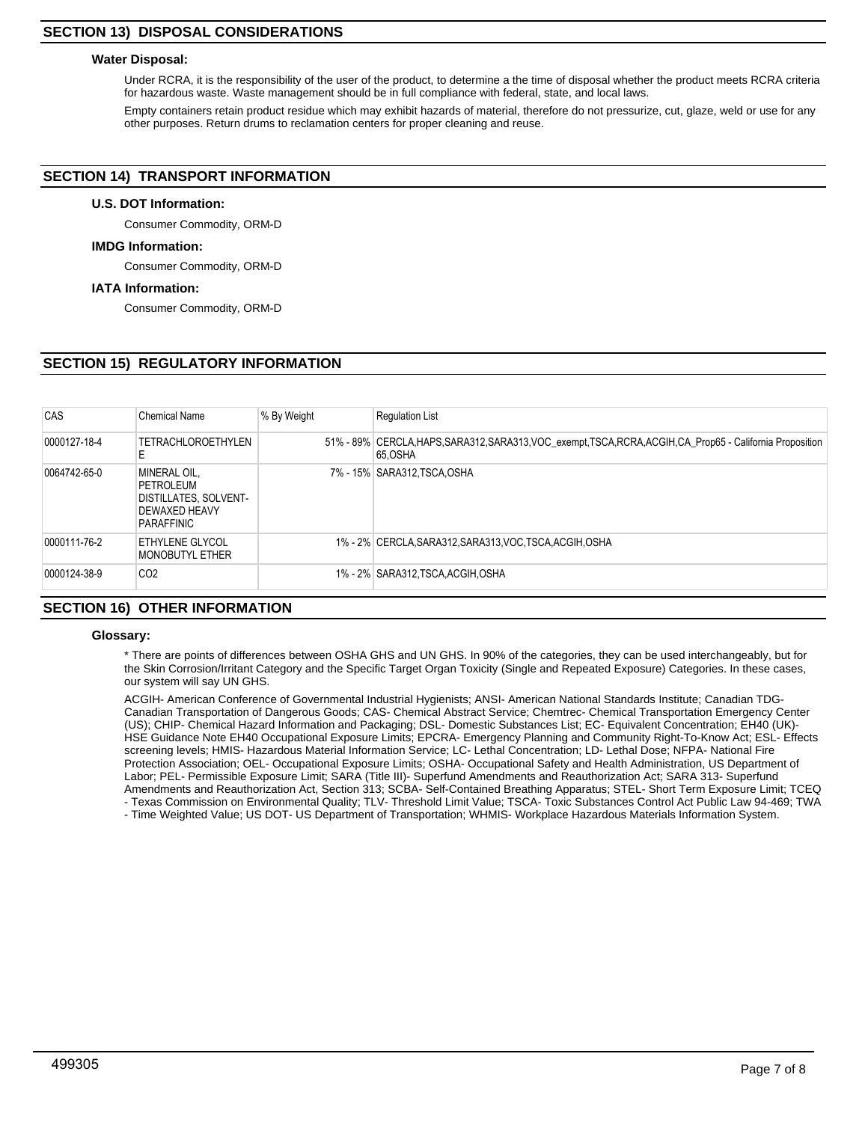# **SECTION 13) DISPOSAL CONSIDERATIONS**

## **Water Disposal:**

Under RCRA, it is the responsibility of the user of the product, to determine a the time of disposal whether the product meets RCRA criteria for hazardous waste. Waste management should be in full compliance with federal, state, and local laws.

Empty containers retain product residue which may exhibit hazards of material, therefore do not pressurize, cut, glaze, weld or use for any other purposes. Return drums to reclamation centers for proper cleaning and reuse.

# **SECTION 14) TRANSPORT INFORMATION**

## **U.S. DOT Information:**

Consumer Commodity, ORM-D

## **IMDG Information:**

Consumer Commodity, ORM-D

## **IATA Information:**

Consumer Commodity, ORM-D

# **SECTION 15) REGULATORY INFORMATION**

| CAS          | <b>Chemical Name</b>                                                                                   | % By Weight | <b>Requlation List</b>                                                                                                  |
|--------------|--------------------------------------------------------------------------------------------------------|-------------|-------------------------------------------------------------------------------------------------------------------------|
| 0000127-18-4 | <b>TETRACHLOROETHYLEN</b><br>E                                                                         |             | 51% - 89% CERCLA, HAPS, SARA312, SARA313, VOC_exempt, TSCA, RCRA, ACGIH, CA_Prop65 - California Proposition<br>65, OSHA |
| 0064742-65-0 | <b>MINERAL OIL.</b><br>PETROLEUM<br><b>DISTILLATES, SOLVENT-</b><br><b>DEWAXED HEAVY</b><br>PARAFFINIC |             | 7% - 15% SARA312, TSCA, OSHA                                                                                            |
| 0000111-76-2 | <b>ETHYLENE GLYCOL</b><br>MONOBUTYL ETHER                                                              |             | 1% - 2% CERCLA, SARA312, SARA313, VOC, TSCA, ACGIH, OSHA                                                                |
| 0000124-38-9 | CO <sub>2</sub>                                                                                        |             | 1% - 2% SARA312,TSCA,ACGIH,OSHA                                                                                         |

# **SECTION 16) OTHER INFORMATION**

#### **Glossary:**

\* There are points of differences between OSHA GHS and UN GHS. In 90% of the categories, they can be used interchangeably, but for the Skin Corrosion/Irritant Category and the Specific Target Organ Toxicity (Single and Repeated Exposure) Categories. In these cases, our system will say UN GHS.

ACGIH- American Conference of Governmental Industrial Hygienists; ANSI- American National Standards Institute; Canadian TDG-Canadian Transportation of Dangerous Goods; CAS- Chemical Abstract Service; Chemtrec- Chemical Transportation Emergency Center (US); CHIP- Chemical Hazard Information and Packaging; DSL- Domestic Substances List; EC- Equivalent Concentration; EH40 (UK)- HSE Guidance Note EH40 Occupational Exposure Limits; EPCRA- Emergency Planning and Community Right-To-Know Act; ESL- Effects screening levels; HMIS- Hazardous Material Information Service; LC- Lethal Concentration; LD- Lethal Dose; NFPA- National Fire Protection Association; OEL- Occupational Exposure Limits; OSHA- Occupational Safety and Health Administration, US Department of Labor; PEL- Permissible Exposure Limit; SARA (Title III)- Superfund Amendments and Reauthorization Act; SARA 313- Superfund Amendments and Reauthorization Act, Section 313; SCBA- Self-Contained Breathing Apparatus; STEL- Short Term Exposure Limit; TCEQ - Texas Commission on Environmental Quality; TLV- Threshold Limit Value; TSCA- Toxic Substances Control Act Public Law 94-469; TWA

- Time Weighted Value; US DOT- US Department of Transportation; WHMIS- Workplace Hazardous Materials Information System.